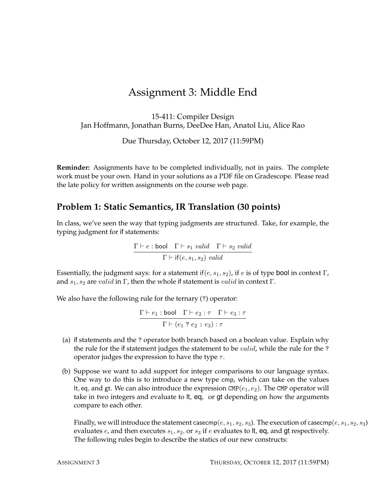## Assignment 3: Middle End

15-411: Compiler Design Jan Hoffmann, Jonathan Burns, DeeDee Han, Anatol Liu, Alice Rao

Due Thursday, October 12, 2017 (11:59PM)

**Reminder:** Assignments have to be completed individually, not in pairs. The complete work must be your own. Hand in your solutions as a PDF file on Gradescope. Please read the late policy for written assignments on the course web page.

## **Problem 1: Static Semantics, IR Translation (30 points)**

In class, we've seen the way that typing judgments are structured. Take, for example, the typing judgment for if statements:

> $\Gamma \vdash e : \text{bool} \quad \Gamma \vdash s_1 \ \text{valid} \quad \Gamma \vdash s_2 \ \text{valid}$  $\Gamma \vdash \mathsf{if}(e, s_1, s_2)$  valid

Essentially, the judgment says: for a statement if  $(e, s_1, s_2)$ , if e is of type bool in context Γ, and  $s_1$ ,  $s_2$  are valid in Γ, then the whole if statement is valid in context Γ.

We also have the following rule for the ternary (?) operator:

 $\Gamma \vdash e_1 : \textsf{bool} \quad \Gamma \vdash e_2 : \tau \quad \Gamma \vdash e_3 : \tau$  $\Gamma \vdash (e_1\mathrel{?} e_2 : e_3) : \tau$ 

- (a) if statements and the ? operator both branch based on a boolean value. Explain why the rule for the if statement judges the statement to be *valid*, while the rule for the ? operator judges the expression to have the type  $\tau$ .
- (b) Suppose we want to add support for integer comparisons to our language syntax. One way to do this is to introduce a new type cmp, which can take on the values It, eq, and gt. We can also introduce the expression  $\text{CMP}(e_1, e_2)$ . The CMP operator will take in two integers and evaluate to lt, eq, or gt depending on how the arguments compare to each other.

Finally, we will introduce the statement casecmp(e,  $s_1, s_2, s_3$ ). The execution of casecmp(e,  $s_1, s_2, s_3$ ) evaluates  $e$ , and then executes  $s_1$ ,  $s_2$ , or  $s_3$  if  $e$  evaluates to lt, eq, and gt respectively. The following rules begin to describe the statics of our new constructs: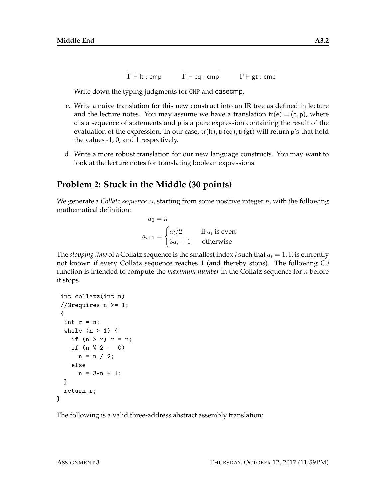$$
\overline{\Gamma \vdash \mathsf{lt} : \mathsf{cmp}} \qquad \overline{\Gamma \vdash \mathsf{eq} : \mathsf{cmp}} \qquad \overline{\Gamma \vdash \mathsf{gt} : \mathsf{cmp}}
$$

Write down the typing judgments for CMP and casecmp.

- c. Write a naive translation for this new construct into an IR tree as defined in lecture and the lecture notes. You may assume we have a translation  $tr(e) = (c, p)$ , where c is a sequence of statements and p is a pure expression containing the result of the evaluation of the expression. In our case,  $tr(lt)$ ,  $tr(eq)$ ,  $tr(gt)$  will return p's that hold the values -1, 0, and 1 respectively.
- d. Write a more robust translation for our new language constructs. You may want to look at the lecture notes for translating boolean expressions.

## **Problem 2: Stuck in the Middle (30 points)**

We generate a C*ollatz sequence*  $c_i$ *,* starting from some positive integer  $n$ , with the following mathematical definition:

$$
a_0 = n
$$
  

$$
a_{i+1} = \begin{cases} a_i/2 & \text{if } a_i \text{ is even} \\ 3a_i + 1 & \text{otherwise} \end{cases}
$$

The *stopping time* of a Collatz sequence is the smallest index i such that  $a_i = 1$ . It is currently not known if every Collatz sequence reaches 1 (and thereby stops). The following C0 function is intended to compute the *maximum number* in the Collatz sequence for n before it stops.

```
int collatz(int n)
//@requires n >= 1;
 {
 int r = n;
 while (n > 1) {
    if (n > r) r = n;
    if (n \ \text{\%} \ 2 == 0)n = n / 2;
    else
      n = 3*n + 1;}
 return r;
}
```
The following is a valid three-address abstract assembly translation: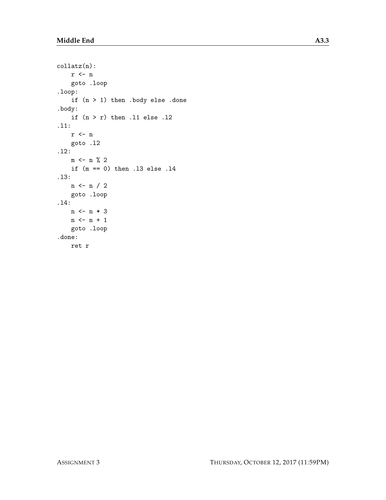```
collatz(n):
   r <- n
    goto .loop
.loop:
    if (n > 1) then .body else .done
.body:
    if (n > r) then .11 else .12
.l1:
   r <- n
   goto .l2
.l2:
   m \leftarrow n \% 2if (m == 0) then .l3 else .l4
.l3:
   n <- n / 2
    goto .loop
.l4:
   n <- n * 3
   n \leftarrow n + 1goto .loop
.done:
   ret r
```